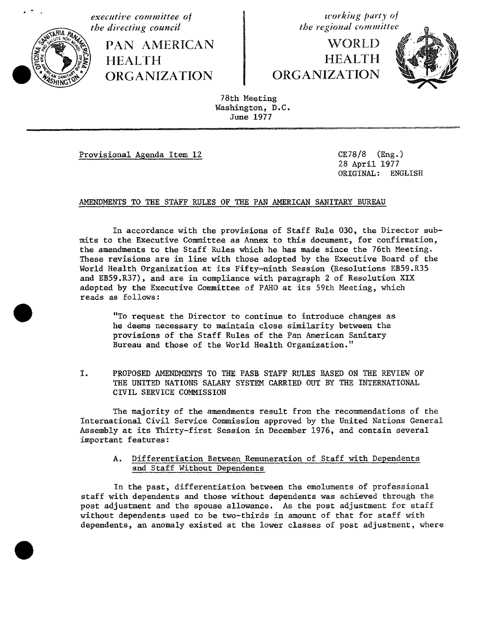

**executive** committee of the directing council and the directing council

**PAN AMERICAN the directing council the regional committe'**\_\_\_\_ "'\_ ORGANIZATION | ORGANIZATION ORGANIZATION ORGANIZATION

**WORLD** HEALTH **HEALTH** 



78th Meeting Washington, D.C. June 1977

Provisional Agenda Item 12 CE78/8 (Eng.)

28 April 1977 ORIGINAL: ENGLISH

### AMENDMENTS TO THE STAFF RULES OF THE PAN AMERICAN SANITARY BUREAU

In accordance with the provisions of Staff Rule 030, the Director submits to the Executive Committee as Annex to this document, for confirmation, the amendments to the Staff Rules which he has made since the 76th Meeting. These revisions are in line with those adopted by the Executive Board of the World Health Organization at its Fifty-ninth Session (Resolutions EB59.R35 and EB59.R37), and are in compliance with paragraph 2 of Resolution XIX adopted by the Executive Committee of PAHO at its 59th Meeting, which reads as follows:

"To request the Director to continue to introduce changes as he deems necessary to maintain close similarity between the provisions of the Staff Rules of the Pan American Sanitary Bureau and those of the World Health Organization."

I. PROPOSED AMENDMENTS TO THE PASB STAFF RULES BASED ON THE REVIEW OF THE UNITED NATIONS SALARY SYSTEM CARRIED OUT BY THE INTERNATIONAL CIVIL SERVICE COMMISSION

The majority of the amendments result from the recommendations of the International Civil Service Commission approved by the United Nations General Assembly at its Thirty-first Session in December 1976, and contain several important features:

A. Differentiation Between Remuneration of Staff with Dependents and Staff Without Dependents

In the past, differentiation between the emoluments of professional staff with dependents and those without dependents was achieved through the post adjustment and the spouse allowance. As the post adjustment for staff without dependents used to be two-thirds in amount of that for staff with dependents, an anomaly existed at the lower classes of post adjustment, where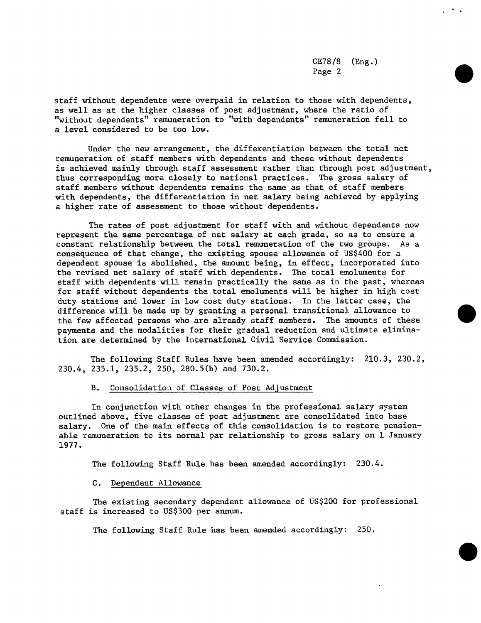cE78**/**8 (Eng.) Page 2

staff without dependents were overpaid in relation to those with dependents, as well as at the higher classes of post adjustment, where the ratio of "without dependents" remuneration to "with dependents" remuneration fell to a level considered to be too low.

Under the new arrangement, the differentiation between the total net remuneration of staff members with dependents and those without dependents is achieved mainly through staff assessment rather than through post adjustment, thus corresponding more closely to national practices. The gross salary of staff members withou**t** dependents remains the same as that of staff members with dependen**t**s, the differentiation in net salary being achieved by applying a higher rate of assessment to those without dependents.

The rates of post adjustment for staff with and without dependents now represent the same percentage of net salary at each grade, so as to ensure a constant relationship between the to**t**al remuneration of the two groups. As a consequence of that change, the existing spouse allowance of US\$400 for a dependent spouse is abolished, the amount being, in effect, incorporated into the revised net salary of staff with dependents. The total emoluments for staff with dependents will remain prac**t**ically the same as in the past, whereas for staff without dependents the total emoluments will be higher in high cost duty stations and lower in low cost duty stations. In the latter case, the difference will be made up by granting a personal transitional allowance to the few affected persons who are already staff members. The amounts of these paymen**t**s and the modalities for their gradual reduction and ultimate elimination are determined by the International Civil Service Commission.

The following Staff Rules have been amended accordingly: 210.3, 230.2, 230.4, 235.1, 235.2, 250, 280.5(b) and 730.2.

### B. Consolidation of Classes of Post Adjustment

In conjunction with other changes in the professional salary system outlined above, five classes of post adjustment are consolidated into base salary. One of the main effects of this consolidation is to restore pensionable remuneration to i**t**s normal par relationship to gross salary on 1 January 1977.

The following Staff Rule has been amended accordingly: 230.4.

### C. Dependent Allowance

The existing secondary dependent allowance of US\$200 for professional staff is increased to US\$300 per annum.

The following Staff Rule has been amended accordingly: 250.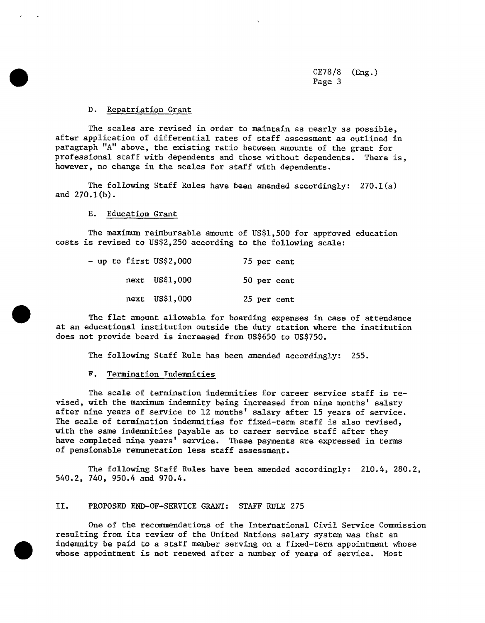CE78**/**8 (Eng.) Page 3

#### D. Repatriation Grant

The scales are revised in order to maintain as nearly as possible, after application of differential rates of staff assessment as outlined in paragraph "A" above, the existing ratio between amounts of the grant for professional staff with dependents and those without dependents. There is, however, no change in the scales for staff with dependents.

The following Staff Rules have be**e**n amended accordingly: 270.1(a) and 270.1(b).

E. Education Grant

The maximum reimbursable amount of US\$1,500 for approved education costs is revised to US\$2,250 according to the following scale:

|  |  | - up to first US\$2,000 |  | 75 per cent |  |
|--|--|-------------------------|--|-------------|--|
|  |  | next US\$1,000          |  | 50 per cent |  |
|  |  | next US\$1,000          |  | 25 per cent |  |

The flat amount allowable for boarding expenses in case of attendance at an educational institution outside the duty station where the institution does not provide board is increased from US\$650 to US\$750.

The following Staff Rule has been amended accordingly: 255.

#### F. Termination Indemnities

The scale of termination indemnities for career service staff is revised, with the maximum indemnity being increased from nine months' salary after nine years of service to 12 months' salary after 15 years of service. The scale of termination indemnities for fixed-term staff is also revised, with the same indemnities payable as to career service staff after they have completed nine years' service. These payments are expressed in terms of pensionable remuneration less staff assessment.

The following Staff Rules have been amended accordingly: 210.4, 280.2, 540.2, 740, 950.4 and 970.4.

#### II. PROPOSED END-OF-SERVICE GRANT: STAFF RULE 275

One of the recommendations of the International Civil Service Commission resulting from its review of the United Nations salary system was that an indemnity be paid to a staff member serving on a fixed-term appointment whose whose appointment is not renewed after a number of years of service. Most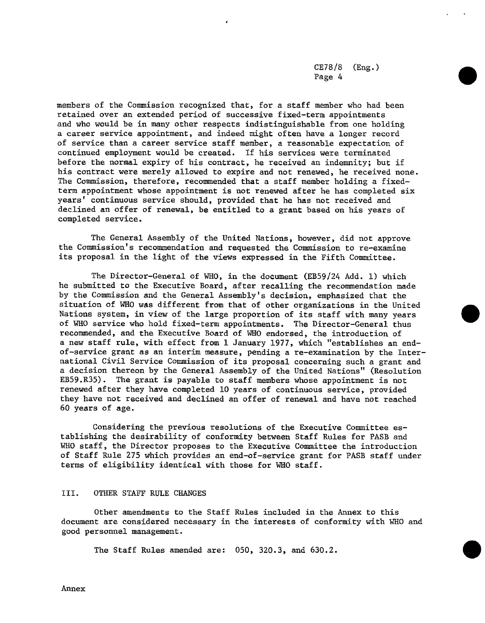CE78**/**8 (Eng.) Page 4

members of the Commission recognized that, for a staff member who had been retained over an extended period of successive fixed-term appointments and who would be in many other respects indistinguishable from one holding a career service appointment, and indeed might often have a longer record of service than a career service staff member, a reasonable expectation of continued employment would be created. If his services were terminated before the normal expiry of his contract, he received an indemnity; but if his contract were merely allowed to expire and not renewed, he received none. The Commission, therefore, recommended that a staff member holding a fixedterm appointment whose appointment is not renewed after he has completed six years' continuous service should, provided that he has not received and declined an offer of renewal, be entitled to a grant based on his years of completed service.

The General Assembly of the United Nations, however, did not approve the Commission's recommendation and requested the Commission to re-examine its proposal in the light of the views expressed in the Fifth Committee.

The Director-General of WHO, in the document (EB59**/**24 Add. 1) which he submitted to the Executive Board, after recalling the recommendation made by the Commission and the General Assembly's decision, emphasized that the situation of WHO was different from that of other organizations in the United Nations system, in view of the large proportion of its staff with many years of WHO service who hold fixed-term appointments. The Director-General thus recommended, and the Executive Board of WHO endorsed, the introduction of a new staff rule, with effect from 1 January 1977, which "establishes an endof-service grant as an interim measure, pending a re-examination by the International Civil Service Commission of its proposal concerning such a grant and a decision thereon by the General Assembly of the United Nations" (Resolution EB59.R35). The grant is payable to staff members whose appointment is not renewed after they have completed 10 years of continuous service, provided they have not received and declined an offer of renewal and have not reached 60 years of age.

Considering the previous resolutions of the Executive Committee establishing the desirability of conformi**t**y between Staff Rules for PASB and WHO staff, the Director proposes to the Executive Committee the introduction of Staff Rule 275 which provides an end-of-service gran**t** for PASB staff under terms of eligibility identical with those for WHO staff.

### III. OTHER STAFF RULE CHANGES

Other amendments to the Staff Rules included in the Annex to this document are considered necessary in the interests of conformity with WHO and good personnel management.

The Staff Rules amended are: 050, 320.3, and 630.2.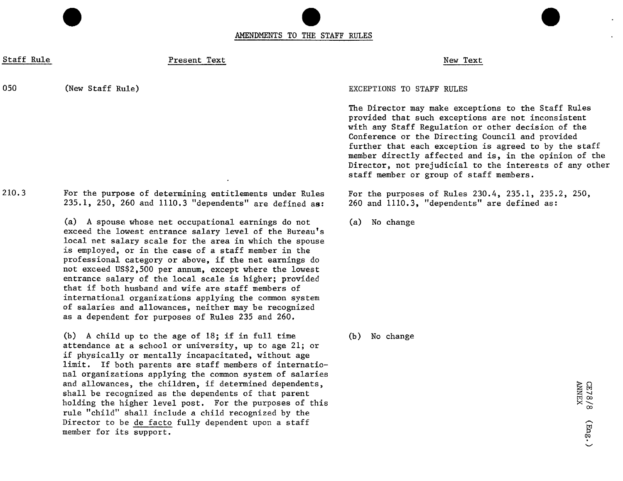AMENDMENTS TO THE STAFF RULES

Staff Rule New Text Present Text New Text New Text

050 (New Staff Rule) **EXCEPTIONS TO STAFF RULES** 

210.3 For the purpose of determining entitlements under Rules For the purposes of Rules 230.4, 235.1, 235.2, 250,<br>235.1, 250, 260 and 1110.3 "dependents" are defined as: 260 and 1110.3, "dependents" are defined as:  $235.1$ ,  $250$ ,  $260$  and  $1110.3$  "dependents" are defined as:

> (a) A spouse whose net occupational earnings do not (a) No change exceed the lowest entrance salary level of the Bureau's local net salary scale for the area in which the spouse is employed, or in the case of a staff member in the professional category or above, if the net earnings do not exceed US\$2,500 per annum, except where the lowest entrance salary of the local scale is higher; provided that if both husband and wife are staff members of international organizations applying the common system of salaries and allowances, neither may be recognized as a dependent for purposes of Rules 235 and 260.

(b) A child up to the age of 18; if in full time (b) No change attendance at a school or university, up to age 21; or if physically or mentally incapacitated, without age limit. If both parents are staff members of international organizations applying the common system of salaries and allowances, the children, if determined dependents,<br>shall be recognized as the dependents of that parent<br>holding the higher level post. For the purposes of this<br>mula "child" shall include shild proceeding by the shall be recognized as the dependents of that parent holding the higher level post. For the purposes of this rule "child" shall include a child recognized by the<br>Director to be de facto fully dependent upon a staff member for its support.

The Director may make exceptions to the Staff Rules provided that such exceptions are not inconsistent with any Staff Regulation or other decision of the Conference or the Directing Council and provided further that each exception is agreed to by the staff member directly affected and is, in the opinion of the Director, not prejudicial to the interests of any other staff member or group of staff members.

 $(mg.)$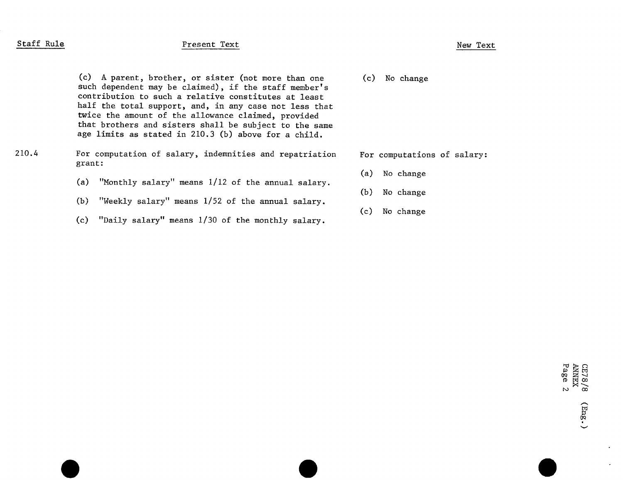# Staff Rule New Text Present Text New Text New Text

(c) A parent, brother, or sister (not more than one (c) No change such dependent may be claimed), if the staff member's contribution to such a relative constitutes at least half the total support, and, in any case not less that twice the amount of the allowance claimed, provided that brothers and sisters shall be subject to the same age limits as stated in 210.3 (b) above for a child.

### 210.4 For computation of salary, indemnities and repatriation For computations of salary: grant:

- (a) "Monthly salary" means 1**/**12 of the annual salary.
- (b) "Weekly salary" means 1**/**52 of the annual salary.
- (c) "Daily salary" means 1**/**30 of the monthly salary.

- (a) No change
- (b) No change
- (c) No change

8/8<br>5<br>2<br>2<br>2 0P

V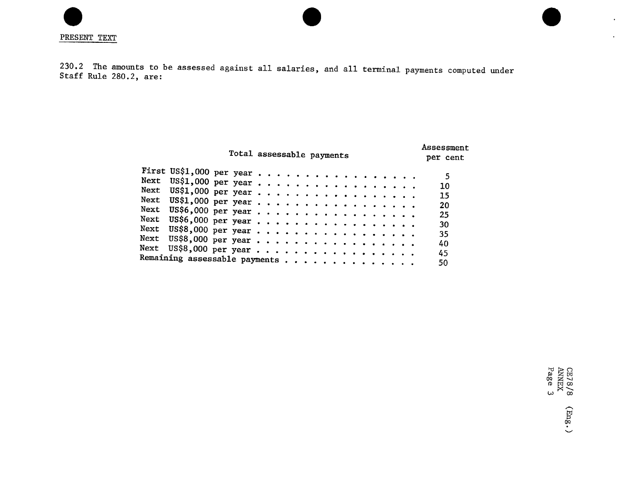230.2 The amounts to be assessed against all salaries, and all terminal payments computed under Staff Rule 280.2, are:

|                               | Total assessable payments |  |  |  |  |  |  |  |  | Assessment<br>per cent |
|-------------------------------|---------------------------|--|--|--|--|--|--|--|--|------------------------|
| First US\$1,000 per year      |                           |  |  |  |  |  |  |  |  |                        |
|                               |                           |  |  |  |  |  |  |  |  | 5                      |
|                               |                           |  |  |  |  |  |  |  |  | 10                     |
|                               |                           |  |  |  |  |  |  |  |  | 15                     |
| Next US\$1,000 per year       |                           |  |  |  |  |  |  |  |  | 20                     |
| Next US\$6,000 per year       |                           |  |  |  |  |  |  |  |  | 25                     |
| Next US\$6,000 per year       |                           |  |  |  |  |  |  |  |  |                        |
|                               |                           |  |  |  |  |  |  |  |  | 30                     |
| Next US\$8,000 per year       |                           |  |  |  |  |  |  |  |  | -35                    |
| Next US\$8,000 per year       |                           |  |  |  |  |  |  |  |  | 40                     |
| Next US\$8,000 per year       |                           |  |  |  |  |  |  |  |  |                        |
|                               |                           |  |  |  |  |  |  |  |  | 45                     |
| Remaining assessable payments |                           |  |  |  |  |  |  |  |  | 50                     |

 $H \sim$ co a s oo

 $\bullet$ 

 $\bullet$  .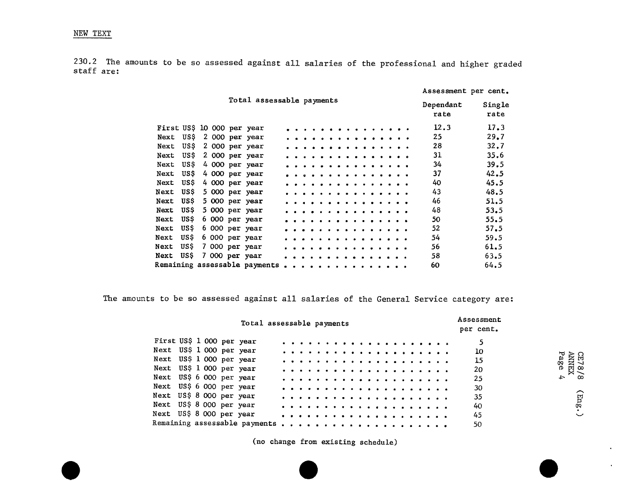230,2 The amounts to be so assessed against all salaries of the professional and higher graded staff are:

|                            |      |  |                               |              |                      |            |   |  |              |  |  | Assessment per cent. |                |
|----------------------------|------|--|-------------------------------|--------------|----------------------|------------|---|--|--------------|--|--|----------------------|----------------|
|                            |      |  | Total assessable payments     |              |                      |            |   |  |              |  |  | Dependant<br>rate    | Single<br>rate |
| First US\$ 10 000 per year |      |  |                               |              |                      |            |   |  |              |  |  | 12.3                 | 17.3           |
| Next                       | USS  |  | 2 000 per year                |              |                      | . <b>.</b> |   |  |              |  |  | 25                   | 29.7           |
| Next                       | US\$ |  | 2 000 per year                |              |                      |            | . |  |              |  |  | 28                   | 32.7           |
| Next                       | US S |  | 2 000 per year                | . <i>.</i> . |                      |            |   |  |              |  |  | 31                   | 35.6           |
| Next                       | US\$ |  | 4 000 per year                |              | .                    |            |   |  |              |  |  | 34                   | 39.5           |
| Next                       | USS  |  | 4 000 per year                |              |                      |            |   |  | .            |  |  | 37                   | 42.5           |
| Next                       | US\$ |  | 4 000 per year                |              |                      |            |   |  |              |  |  | 40                   | 45.5           |
| Next                       | US\$ |  | 5 000 per year                |              | $\sim$ $\sim$ $\sim$ |            |   |  | . . <b>.</b> |  |  | 43                   | 48.5           |
| Next                       | US\$ |  | 5 000 per year                |              | . <i>.</i> .         |            |   |  |              |  |  | 46                   | 51.5           |
| Next                       | US\$ |  | 5 000 per year                | .            |                      |            |   |  |              |  |  | 48                   | 53.5           |
| Next                       | US\$ |  | 6 000 per year                | .            |                      |            |   |  |              |  |  | 50                   | 55.5           |
| Next                       | US\$ |  | 6 000 per year                |              |                      |            |   |  | .            |  |  | 52                   | 57.5           |
| Next                       | USS  |  | 6 000 per year                |              |                      |            |   |  |              |  |  | 54                   | 59.5           |
| Next                       | US\$ |  | 7 000 per year                |              |                      |            |   |  |              |  |  | 56                   | 61.5           |
| Next                       | US\$ |  | 7 000 per year                |              |                      |            |   |  |              |  |  | 58                   | 63.5           |
|                            |      |  | Remaining assessable payments |              |                      |            |   |  |              |  |  | 60                   | 64.5           |

The amounts to be so assessed against all salaries of the General Service category are:

|                           |  |  | Total assessable payments     |  |  |  |  |  |  |   |  |  |  |  | Assessment<br>per cent. |
|---------------------------|--|--|-------------------------------|--|--|--|--|--|--|---|--|--|--|--|-------------------------|
| First US\$ 1 000 per year |  |  |                               |  |  |  |  |  |  |   |  |  |  |  |                         |
| Next US\$ 1 000 per year  |  |  |                               |  |  |  |  |  |  |   |  |  |  |  | 10                      |
| Next US\$ 1 000 per year  |  |  |                               |  |  |  |  |  |  |   |  |  |  |  | ANNEX<br>Page 4<br>15   |
| Next US\$ 1 000 per year  |  |  |                               |  |  |  |  |  |  |   |  |  |  |  | 20                      |
| Next US\$ 6 000 per year  |  |  |                               |  |  |  |  |  |  |   |  |  |  |  | 25                      |
| Next US\$ 6 000 per year  |  |  |                               |  |  |  |  |  |  |   |  |  |  |  | 30                      |
| Next US\$ 8 000 per year  |  |  |                               |  |  |  |  |  |  |   |  |  |  |  | 35                      |
| Next US\$ 8 000 per year  |  |  |                               |  |  |  |  |  |  |   |  |  |  |  | 40                      |
| Next US\$ 8 000 per year  |  |  |                               |  |  |  |  |  |  |   |  |  |  |  | 45                      |
|                           |  |  | Remaining assessable payments |  |  |  |  |  |  | . |  |  |  |  | 50                      |

 $\bullet$ 

 $\bullet$ 

(no change from existing schedule\_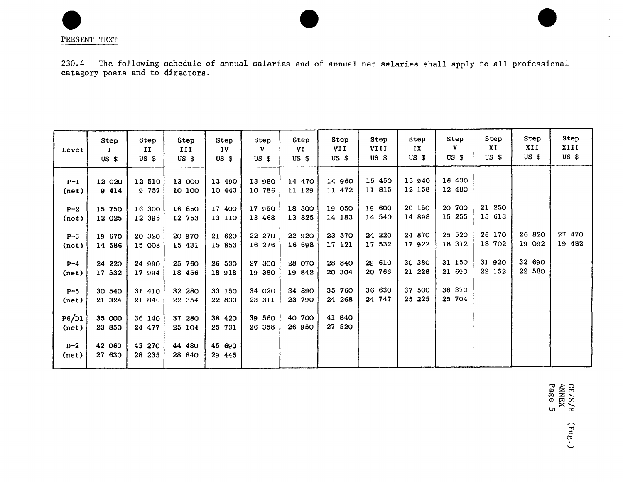PRESENT TEXT

230.4 The following schedule of annual salaries and of annual net salaries shall apply to all professional category posts and to directors.

| Level                      | Step<br>$US$ $$$ | Step<br>II<br>$US$ \$ | Step<br>III<br>$US$ $$$ | Step<br>IV<br>US S | Step<br>v<br>$US$ \$ | Step<br>VI<br>USS | Step<br><b>VII</b><br>$US$ \$ | Step<br>VIII<br>$US$ $$$ | Step<br>IX<br>$US$ $$$ | Step<br>x<br>$US$ \$ | Step<br>XI<br>$US$ \$ | Step<br>XII<br>$US$ \$ | Step<br>XIII<br>$US$ \$ |
|----------------------------|------------------|-----------------------|-------------------------|--------------------|----------------------|-------------------|-------------------------------|--------------------------|------------------------|----------------------|-----------------------|------------------------|-------------------------|
| $P-1$<br>(n <sub>e</sub> ) | 12 020<br>9 414  | 12 510<br>9 757       | 13 000<br>10 100        | 13 490<br>10 443   | 13 980<br>10 786     | 14 470<br>11 129  | 14 960<br>11 472              | 15 450<br>11 815         | 15 940<br>12 158       | 16 430<br>12 480     |                       |                        |                         |
| $P-2$<br>(net)             | 15 750<br>12 025 | 16 300<br>12 395      | 16 850<br>12 753        | 17 400<br>13 110   | 17 950<br>13 468     | 18 500<br>13 825  | 19 050<br>14 183              | 19 600<br>14 540         | 20 150<br>14 898       | 20 700<br>15 255     | 21 250<br>15 613      |                        |                         |
| $P-3$<br>(net)             | 19 670<br>14 586 | 20 320<br>15 008      | 20 970<br>15 431        | 21 620<br>15 853   | 22 270<br>16 276     | 22 920<br>16 698  | 23 570<br>17 121              | 24 220<br>17 532         | 24 870<br>17 922       | 25 520<br>18 312     | 26 170<br>18 702      | 26 820<br>19 092       | 27 470<br>19 482        |
| $P-4$<br>(net)             | 24 220<br>17 532 | 24 990<br>17 994      | 25 760<br>18 456        | 26 530<br>18 918   | 27 300<br>19 380     | 28 070<br>19 842  | 28 840<br>20 304              | 29 610<br>20 766         | 30 380<br>21 228       | 31 150<br>21 690     | 31 920<br>22 152      | 32 690<br>22 580       |                         |
| $P-5$<br>(net)             | 30 540<br>21 324 | 31 410<br>21 846      | 32 280<br>22 354        | 33 150<br>22 833   | 34 020<br>23 311     | 34 890<br>23 790  | 35 760<br>24 268              | 36 630<br>24 747         | 37 500<br>25 225       | 38 370<br>25 704     |                       |                        |                         |
| P6/D1<br>(net)             | 35 000<br>23 850 | 36 140<br>24 477      | 37 280<br>25 104        | 38 420<br>25 731   | 39 560<br>26 358     | 40 700<br>26 950  | 41 840<br>27 520              |                          |                        |                      |                       |                        |                         |
| $D-2$<br>(net)             | 42 060<br>27 630 | 43 270<br>28 235      | 44 480<br>28 840        | 45 690<br>29 445   |                      |                   |                               |                          |                        |                      |                       |                        |                         |

78 /<br>XHX<br>Se (Eng.)  $\mathbf{r}$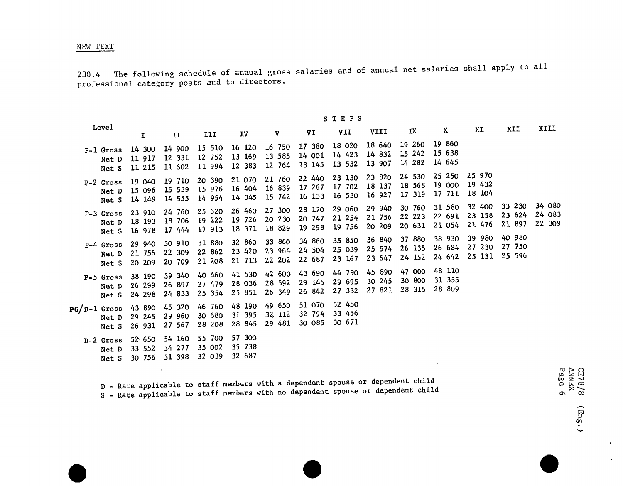### NEW TEXT

230.4 The following schedule of annual gross salaries and of annual net salaries shall apply to all professional category posts and to directors.

|                                  |                            |                            |                            |                            |                             |                            | STEPS                      |                            |                            |                            |                            |                            |                            |
|----------------------------------|----------------------------|----------------------------|----------------------------|----------------------------|-----------------------------|----------------------------|----------------------------|----------------------------|----------------------------|----------------------------|----------------------------|----------------------------|----------------------------|
| <b>Level</b>                     | I.                         | H                          | III                        | IV                         | V                           | VI                         | VII                        | VIII                       | IX                         | X                          | XI                         | XII                        | XIII                       |
| P-1 Gross<br>Net D<br>Net S      | 14 300<br>11 917<br>11 215 | 14 900<br>12 331<br>11 602 | 15 510<br>12 752<br>11 994 | 16 120<br>13 169<br>12 383 | 16 750<br>13 585<br>12 764  | 17 380<br>14 001<br>13 145 | 18 020<br>14 423<br>13 532 | 18 640<br>14 832<br>13 907 | 19 260<br>15 242<br>14 282 | 19 860<br>15 638<br>14 645 |                            |                            |                            |
| P-2 Gross<br>Net D<br>Net S      | 19 040<br>15 096<br>14 149 | 19 710<br>15 539<br>14 555 | 20 390<br>15 976<br>14 954 | 21 070<br>16 404<br>14 345 | 21 760<br>16 839<br>15 742  | 22 440<br>17 267<br>16 133 | 23 130<br>17 702<br>16 530 | 23 820<br>18 137<br>16 927 | 24 530<br>18 568<br>17 319 | 25 250<br>19 000<br>17 711 | 25 970<br>19 432<br>18 104 |                            |                            |
| P-3 Gross<br>Net D<br>Net S      | 23 910<br>18 193<br>16 978 | 24 760<br>18 706<br>17 444 | 25 620<br>19 222<br>17 913 | 26 460<br>19 726<br>18 371 | 27 300<br>20 230<br>18 829  | 28 170<br>20 747<br>19 298 | 29 060<br>21 254<br>19 756 | 29 940<br>21 756<br>20 209 | 30 760<br>22 223<br>20 631 | 31 580<br>22 691<br>21 054 | 32 400<br>23 158<br>21 476 | 33 230<br>23 624<br>21 897 | 34 080<br>24 083<br>22 309 |
| P-4 Gross<br>Net D<br>Net S      | 29 940<br>21 756<br>20 209 | 30 910<br>22 309<br>20 709 | 31 880<br>22 862<br>21 208 | 32 860<br>23 420<br>21 713 | 33 860<br>23 964<br>22 202  | 34 860<br>24 504<br>22 687 | 35 850<br>25 039<br>23 167 | 36 840<br>25 574<br>23 647 | 37 880<br>26 135<br>24 152 | 38 930<br>26 684<br>24 642 | 39 980<br>27 230<br>25 131 | 40 980<br>27 750<br>25 596 |                            |
| P-5 Gross<br>Net D<br>Net S      | 38 190<br>26 299<br>24 298 | 39 340<br>26 897<br>24 833 | 40 460<br>27 479<br>25 354 | 41 530<br>28 036<br>25 851 | 42 600<br>28 592<br>26 349  | 43 690<br>29 145<br>26 842 | 44 790<br>29 695<br>27 332 | 45 890<br>30 245<br>27 821 | 47 000<br>30 800<br>28 315 | 48 110<br>31 355<br>28 809 |                            |                            |                            |
| $P6/D-1$ Gross<br>Net D<br>Net S | 43 890<br>29 245<br>26 931 | 45 320<br>29 960<br>27 567 | 46 760<br>30 680<br>28 208 | 48 190<br>31 395<br>28 845 | 49 650<br>32, 112<br>29 481 | 51 070<br>32 794<br>30 085 | 52 450<br>33 456<br>30 671 |                            |                            |                            |                            |                            |                            |
| D-2 Gross<br>Net D<br>Net S      | 52 650<br>33 552<br>30 756 | 54 160<br>34 277<br>31 398 | 55 700<br>35 002<br>32 039 | 57 300<br>35 738<br>32 687 |                             |                            |                            |                            |                            | $\mathbf{r}$               |                            |                            |                            |

B - Rate applicable to staff members with no dependent spouse or dependent child  $\sigma^{\bowtie}$ 

 $\bullet$ 

 $\mathcal{L}^{\pm}$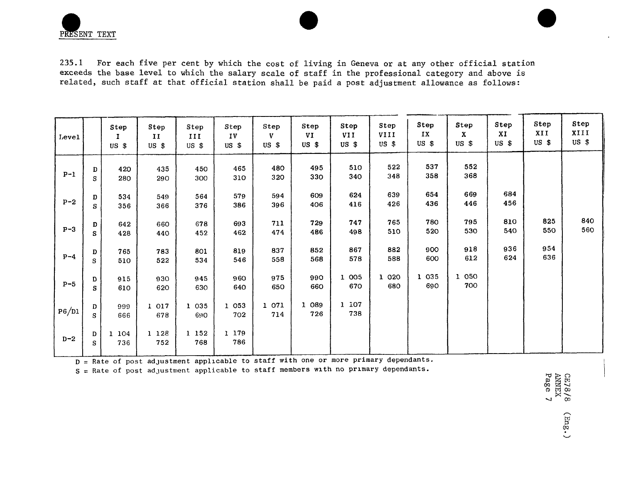PRESENT TEXT

235.1 For each five per cent by which the cost of living in Geneva or at any other official station exceeds the base level to which the salary scale of staff in the professional category and above is related, such staff at that official station shall be paid a post adjustment allowance as follows:

| Level   |         | Step<br>$US$ \$ | Step<br>$\mathbf{I}$<br>$US$ \$ | Step<br>III<br>$US$ \$ | Step<br>IV<br>$US$ \$ | Step<br>V<br>$US$ \$ | Step<br>VI<br>$US$ \$ | Step<br>VII<br>$US$ \$ | Step<br>VIII<br>$US$ \$ | Step<br>IX<br>$US$ \$ | Step<br>$\mathbf{x}$<br>$US$ \$ | Step<br>XI<br>USS | Step<br>XII<br>$US$ \$ | Step<br>XIII<br>$US$ \$ |
|---------|---------|-----------------|---------------------------------|------------------------|-----------------------|----------------------|-----------------------|------------------------|-------------------------|-----------------------|---------------------------------|-------------------|------------------------|-------------------------|
| $P-1$   | D<br>S  | 420<br>280      | 435<br>290                      | 450<br>300             | 465<br>310            | 480<br>320           | 495<br>330            | 510<br>340             | 522<br>348              | 537<br>358            | 552<br>368                      |                   |                        |                         |
| $P - 2$ | D<br>s  | 534<br>356      | 549<br>366                      | 564<br>376             | 579<br>386            | 594<br>396           | 609<br>406            | 624<br>416             | 639<br>426              | 654<br>436            | 669<br>446                      | 684<br>456        |                        |                         |
| $P - 3$ | D<br>S. | 642<br>428      | 660<br>440                      | 678<br>452             | 693<br>462            | 711<br>474           | 729<br>486            | 747<br>498             | 765<br>510              | 780<br>520            | 795<br>530                      | 810<br>540        | 825<br>550             | 840<br>560              |
| $P-4$   | D<br>S  | 765<br>510      | 783<br>522                      | 801<br>534             | 819<br>546            | 837<br>558           | 852<br>568            | 867<br>578             | 882<br>588              | 900<br>600            | 918<br>612                      | 936<br>624        | 954<br>636             |                         |
| $P-5$   | D<br>s  | 915<br>610      | 930<br>620                      | 945<br>630             | 960<br>640            | 975<br>650           | 990<br>660            | 1 005<br>670           | 1 0 2 0<br>680          | 1 0 3 5<br>690        | 1 0 5 0<br>700                  |                   |                        |                         |
| P6/D1   | D<br>s  | 999<br>666      | 1 017<br>678                    | 1 0 3 5<br>690         | 1 053<br>702          | 1 071<br>714         | 1 089<br>726          | 1 107<br>738           |                         |                       |                                 |                   |                        |                         |
| $D-2$   | D<br>s  | 104<br>736      | 1 128<br>752                    | 1 152<br>768           | 1 179<br>786          |                      |                       |                        |                         |                       |                                 |                   |                        |                         |

D = R*at*e of post ad**j**u*st*ment applicable to s**t**aff with one or more primary dependan**t**s, i

*S* = Rate of post a*d***j**ustment applicable to staff memb*e*rs with no prima*r*y depen*d*a*n*ts. I

**O**0 "\_ \_ t'rl **O**o

F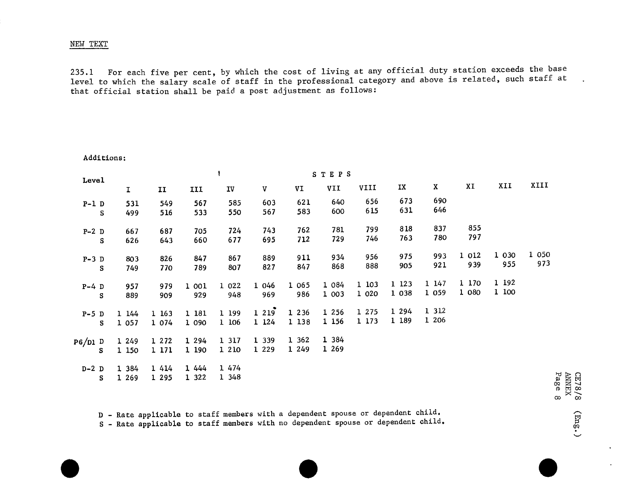### NEW TEXT

Additions:

235.1 For each five per cent, by which the cost of living at any official duty station exceeds the base level to which the salary scale of staff in the professional category and above is related, such staff at that official station shall be paid a post adjustment as follows:

| Level   |   |             |              |         |         |         |         | <b>STEPS</b> |       |         |             |         |         |                     |
|---------|---|-------------|--------------|---------|---------|---------|---------|--------------|-------|---------|-------------|---------|---------|---------------------|
|         |   | $\mathbf I$ | $\mathbf{I}$ | III     | IV      | V       | VI      | VII          | VIII  | IX      | $\mathbf X$ | XI      | XII     | XIII                |
| $P-1$ D |   | 531         | 549          | 567     | 585     | 603     | 621     | 640          | 656   | 673     | 690         |         |         |                     |
|         | S | 499         | 516          | 533     | 550     | 567     | 583     | 600          | 615   | 631     | 646         |         |         |                     |
| $P-2$ D |   | 667         | 687          | 705     | 724     | 743     | 762     | 781          | 799   | 818     | 837         | 855     |         |                     |
|         | s | 626         | 643          | 660     | 677     | 695     | 712     | 729          | 746   | 763     | 780         | 797     |         |                     |
| $P-3$ D |   | 803         | 826          | 847     | 867     | 889     | 911     | 934          | 956   | 975     | 993         | 1 0 1 2 | 1 0 3 0 | 1 0 5 0             |
|         | s | 749         | 770          | 789     | 807     | 827     | 847     | 868          | 888   | 905     | 921         | 939     | 955     | 973                 |
| $P-4$ D |   | 957         | 979          | 1 001   | 1 0 2 2 | 1 046   | 1 065   | 1 084        | 1 103 | 1 1 2 3 | 1 147       | 1 170   | 1 192   |                     |
|         | s | 889         | 909          | 929     | 948     | 969     | 986     | 1 003        | 1 020 | 1 0 38  | 1 0 5 9     | 1 080   | 1 100   |                     |
| $P-5$ D |   | 1 144       | 1 163        | 1 181   | 1 199   | 1219    | 1 2 3 6 | 1 2 5 6      | 1 275 | 1 294   | 1 3 1 2     |         |         |                     |
|         | s | 1 0 5 7     | 1 0 7 4      | 1 090   | 1 106   | 1 1 2 4 | 1 138   | 1 1 5 6      | 1 173 | 1 189   | 1 206       |         |         |                     |
| P6/D1 D |   | 1 249       | 1 2 7 2      | 1 2 9 4 | 1 3 1 7 | 1 3 3 9 | 1 362   | 1 384        |       |         |             |         |         |                     |
|         | s | 1 150       | 1 171        | 1 190   | 1 2 1 0 | 1 2 2 9 | 1 249   | 1 269        |       |         |             |         |         |                     |
| $D-2$ D |   | 1 384       | 1 4 1 4      | 1 444   | 1 474   |         |         |              |       |         |             |         |         |                     |
|         | s | 1 269       | 1 2 9 5      | 1 3 2 2 | 1 348   |         |         |              |       |         |             |         |         | $_{\rm 2g}$<br>CE7. |

D - Rate applicable to staff members with a dependent spouse or dependent child.<br>
S - Rate applicable to staff members with no dependent spouse or dependent child.<br>  $\bullet$ S - Rate applicable to staff members with no dependent spouse or dependent child.

 $288$ co oo

 $\bullet$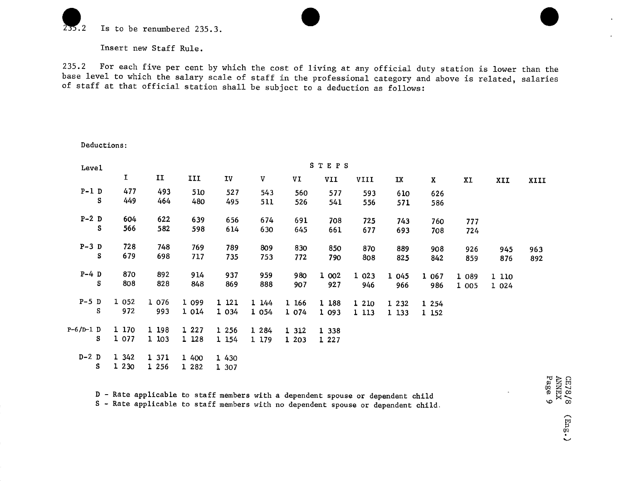

D*e*ductions:

Insert new Staff Rule.

235.2 For each five per cent by which the cost of living at any official duty station is lower than the base level to which the salary scale of staff in the professional category and above is related, salaries of staff at that official station shall be subject to a deduction as follows:

| Level       |         |         |         |         |         |         | STEPS   |         |         |         |       |         |      |
|-------------|---------|---------|---------|---------|---------|---------|---------|---------|---------|---------|-------|---------|------|
|             | I       | II      | III     | IV      | V       | VI      | VII     | VIII    | IX      | X       | XI    | XII     | XIII |
| $P-1$ D     | 477     | 493     | 510     | 527     | 543     | 560     | 577     | 593     | 610     | 626     |       |         |      |
| S           | 449     | 464     | 480     | 495     | 511     | 526     | 541     | 556     | 571     | 586     |       |         |      |
| $P-2$ D     | 604     | 622     | 639     | 656     | 674     | 691     | 708     | 725     | 743     | 760     | 777   |         |      |
| S           | 566     | 582     | 598     | 614     | 630     | 645     | 661     | 677     | 693     | 708     | 724   |         |      |
| $P-3$ D     | 728     | 748     | 769     | 789     | 809     | 830     | 850     | 870     | 889     | 908     | 926   | 945     | 963  |
| s           | 679     | 698     | 717     | 735     | 753     | 772     | 790     | 808     | 825     | 842     | 859   | 876     | 892  |
| $P-4$ D     | 870     | 892     | 914     | 937     | 959     | 980     | 1 002   | 1 023   | 1 045   | 1 0 6 7 | 1 089 | 1 110   |      |
| S           | 808     | 828     | 848     | 869     | 888     | 907     | 927     | 946     | 966     | 986     | 1 005 | 1 0 2 4 |      |
| $P-5$ D     | 1 0 5 2 | 1 0 7 6 | 1 099   | 1 121   | 1144    | 1 166   | 1 188   | 1 210   | 1 2 3 2 | 1 2 5 4 |       |         |      |
| s           | 972     | 993     | 1 0 1 4 | 1 0 3 4 | 1 0 5 4 | 1 0 7 4 | 1 093   | 1 1 1 3 | 1 133   | 1 1 5 2 |       |         |      |
| $P-6/D-1$ D | 1 170   | 1 198   | 1 2 2 7 | 1 2 5 6 | 1 284   | 1 312   | 1 3 3 8 |         |         |         |       |         |      |
| s           | 1 077   | 1 103   | 1 1 28  | 1 154   | 1 179   | 1 203   | 1 2 2 7 |         |         |         |       |         |      |
| $D-2$ D     | 1 342   | 1 371   | 1 400   | 1 430   |         |         |         |         |         |         |       |         |      |
| s           | 1 2 3 0 | 1 2 5 6 | 1 282   | 1 307   |         |         |         |         |         |         |       |         |      |

D - Rate applicable to staff members with a dependent spouse or dependent child<br>D - Rate applicable to staff members with no dependent spouse or dependent child<br>S - Rate applicable to staff members with no dependent spouse S - Rate applicable to staff members with no dependent spouse or dependent child.

 $(\text{m}\text{g.})$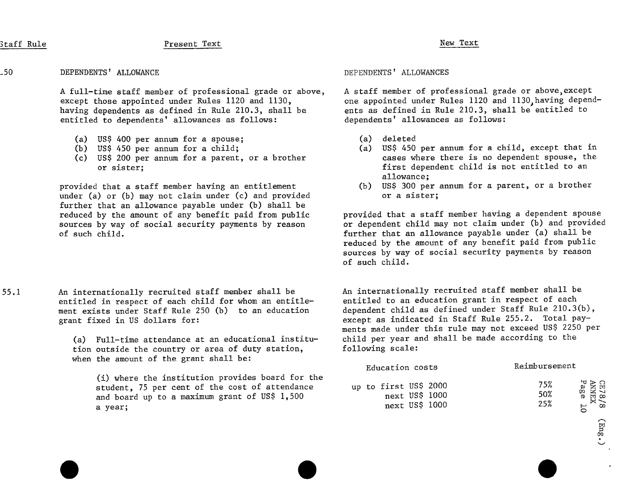# Staff Rule New Text Present Text New Text New Text

### \_50 DEPENDENTS'ALLOWANCE DEPENDENTS'ALLOWANCES

A full-time staff member of professional grade or above, A staff member of professional grade or above, except<br>except those appointed under Rules 1120 and 1130, one appointed under Rules 1120 and 1130, having depen having dependents as defined in Rule 210.3, shall be ents as defined in Rule 210.3, sha<br>entitled to dependents' allowances as follows:<br>dependents' allowances as follows: entitled to dependents' allowances as follows:

- (a) US\$ 400 per annum for a spouse;<br>(b) US\$ 450 per annum for a child; (a) US\$ 450
- 
- (c) US\$ 200 per annum for a parent, or a brother or sister:

provided that a staff member having an entitlement (b) US\$ 300 per annum for a sister;<br>under (a) or (b) may not claim under (c) and provided (b) or a sister; under (a) or (b) may not claim under (c) and provided further that an allowance payable under  $(b)$  shall be sources by way of social security payments by reason of such child.

55.1 An internationally recruited staff member shall be An internationally recruited staff member shall be<br>entitled in respect of each child for whom an entitle- entitled to an education grant in respect of each entitled in respect of each child for whom an entitle-<br>ment exists under Staff Rule 250 (b) to an education dependent child as defined under Staff Rule 210.3(b), ment exists under Staff Rule 250 (b) to an education grant fixed in US dollars for:

> (a) Full-time attendance at an educational institu- child per year and shall be made according to the country or area of duty station. The following scale: tion outside the country or area of duty station, when the amount of the grant shall be:

one appointed under Rules 1120 and 1130, having depend-<br>ents as defined in Rule 210.3, shall be entitled to

- 
- (a) US\$ 450 per annum for a child, except that in<br>cases where there is no dependent spouse, the first dependent child is not entitled to an allowance;<br>(b) US\$ 300 per annum for a parent, or a brother
- 

reduced by the amount of any benefit paid from public provided that a staff member having a dependent spouse<br>sources by way of social security payments by reason or dependent child may not claim under (b) and provided further that an allowance payable under (a) shall be reduced by the amount of any benefit paid from public sources by way of social security payments by reason of such child.

> except as indicated in Staff Rule 255.2. Total payments made under this rule may not exceed US\$ 2250 per<br>child per year and shall be made according to the

|                                                                                                                                                                | Education costs                                            | Reimbursement                                                                                                |
|----------------------------------------------------------------------------------------------------------------------------------------------------------------|------------------------------------------------------------|--------------------------------------------------------------------------------------------------------------|
| (i) where the institution provides board for the<br>student, 75 per cent of the cost of attendance<br>and board up to a maximum grant of US\$ 1,500<br>a year; | up to first US\$ 2000<br>next US\$ 1000<br>next $US$$ 1000 | $\begin{array}{c} \mathrm{CE}78/8\\ \mathrm{ANNEX}\\ \mathrm{Page}\quad 10 \end{array}$<br>75%<br>50%<br>25% |

[-\_ mr*}*  $\checkmark$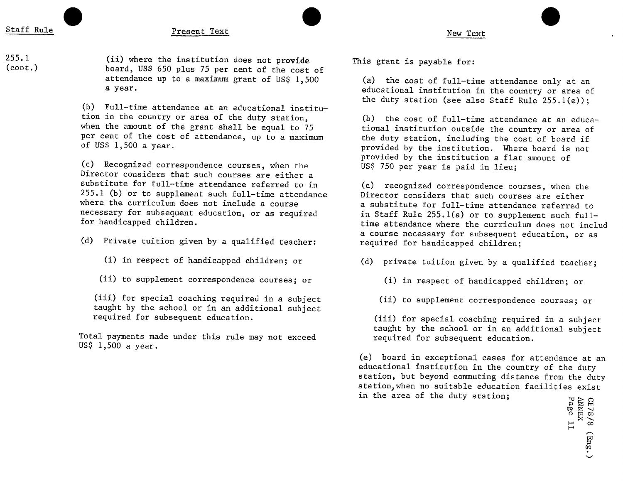255.1 (ii) where the institution does not provide This grant is payable for:<br>Coant ) (cont.) board, USS 650 plus 75 per cent of the cost of attendance up to a maximum grant of US\$ 1,500 (a) the cost of full-time attendance only at an a year.

> (b) Full-time attendance at an educational institu-<br>tion in the country or area of the duty station, tion in the country or area of the duty station,  $\qquad$  (b) the cost of full-time attendance at an educa-<br>when the amount of the grant shall be equal to 75 tional institution outside the country or area of when the amount of the grant shall be equal to 75 tional institution outside the country or area of<br>per cent of the cost of attendance, up to a maximum the duty station, including the cost of board if per cent of the cost of attendance, up to a maximum the duty station, including the cost of board if<br>of US\$ 1,500 a year.

> (c) Recognized correspondence courses, when the Director considers that such courses are either a<br>substitute for full-time attendance referred to in substitute for full-time attendance referred to in (c) recognized correspondence courses, when the<br>255.1 (b) or to supplement such full-time attendance birector considers that such courses are either 255.1 (b) or to supplement such full-time attendance birector considers that such courses are either<br>where the curriculum does not include a course a substitute for full-time attendance referred where the curriculum does not include a course a substitute for full-time attendance referred to<br>necessary for subsequent education, or as required in Staff Rule 255.1(a) or to supplement such full necessary for subsequent education, or as required in Staff Rule 255.1(a) or to supplement such full-<br>for handicapped children. Time attendance where the curriculum does not incl

(d) Private tuition given by a qualified teacher: required for handicapped children;

- 
- (ii) to supplement correspondence courses; or (i) in respect of handicapped children; or

(iii) for special coaching required in a subject (ii) to supplement correspondence courses; or taught by the school or in an additional subject<br>required for subsequent education.

Total payments made under this rule may not exceed USS 1,500 a year.

educational institution in the country or area of the duty station (see also Staff Rule 255.1(e));

provided by the institution. Where board is not provided by the institution a flat amount of<br>US\$ 750 per year is paid in lieu;

time attendance where the curriculum does not includ a course necessary for subsequent education, or as

- (i) in respect of handicapped children; or (d) private tuition given by a qualified teacher;
	-
	-

(iii) for special coaching required in a subject taught by the school or in an additional subject<br>required for subsequent education.

(e) board in exceptional cases for attendance at an educational institution in the country of the duty station, but beyond commuting distance from the duty station, when no suitable education facilities exist in the area of the duty station;

> F\_ 0Q Z-\_ · F\_ CO \_-**"** Co

> > 0P V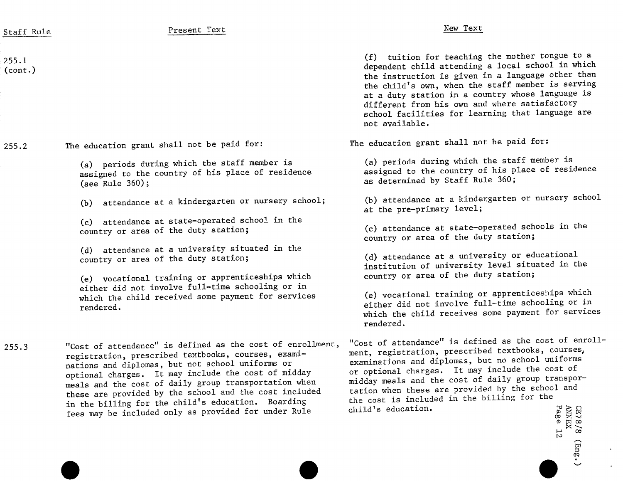| Staff Rule                | Present Text                                                                                                                                                                                                                                                                                                                                                                                                                                                  | New Text                                                                                                                                                                                                                                                                                                                                                                                                                    |
|---------------------------|---------------------------------------------------------------------------------------------------------------------------------------------------------------------------------------------------------------------------------------------------------------------------------------------------------------------------------------------------------------------------------------------------------------------------------------------------------------|-----------------------------------------------------------------------------------------------------------------------------------------------------------------------------------------------------------------------------------------------------------------------------------------------------------------------------------------------------------------------------------------------------------------------------|
| 255.1<br>$_{\rm (cont.)}$ |                                                                                                                                                                                                                                                                                                                                                                                                                                                               | (f) tuition for teaching the mother tongue to a<br>dependent child attending a local school in which<br>the instruction is given in a language other than<br>the child's own, when the staff member is serving<br>at a duty station in a country whose language is<br>different from his own and where satisfactory<br>school facilities for learning that language are<br>not available.                                   |
| 255.2                     | The education grant shall not be paid for:                                                                                                                                                                                                                                                                                                                                                                                                                    | The education grant shall not be paid for:                                                                                                                                                                                                                                                                                                                                                                                  |
|                           | (a) periods during which the staff member is<br>assigned to the country of his place of residence<br>(see Rule $360$ );                                                                                                                                                                                                                                                                                                                                       | (a) periods during which the staff member is<br>assigned to the country of his place of residence<br>as determined by Staff Rule 360;                                                                                                                                                                                                                                                                                       |
|                           | (b) attendance at a kindergarten or nursery school;                                                                                                                                                                                                                                                                                                                                                                                                           | (b) attendance at a kindergarten or nursery school<br>at the pre-primary level;                                                                                                                                                                                                                                                                                                                                             |
|                           | (c) attendance at state-operated school in the<br>country or area of the duty station;                                                                                                                                                                                                                                                                                                                                                                        | (c) attendance at state-operated schools in the<br>country or area of the duty station;                                                                                                                                                                                                                                                                                                                                     |
|                           | (d) attendance at a university situated in the<br>country or area of the duty station;<br>(e) vocational training or apprenticeships which                                                                                                                                                                                                                                                                                                                    | (d) attendance at a university or educational<br>institution of university level situated in the<br>country or area of the duty station;                                                                                                                                                                                                                                                                                    |
|                           | either did not involve full-time schooling or in<br>which the child received some payment for services<br>rendered.                                                                                                                                                                                                                                                                                                                                           | (e) vocational training or apprenticeships which<br>either did not involve full-time schooling or in<br>which the child receives some payment for services<br>rendered.                                                                                                                                                                                                                                                     |
| 255.3                     | "Cost of attendance" is defined as the cost of enrollment,<br>registration, prescribed textbooks, courses, exami-<br>nations and diplomas, but not school uniforms or<br>optional charges. It may include the cost of midday<br>meals and the cost of daily group transportation when<br>these are provided by the school and the cost included<br>in the billing for the child's education. Boarding<br>fees may be included only as provided for under Rule | "Cost of attendance" is defined as the cost of enroll-<br>ment, registration, prescribed textbooks, courses,<br>examinations and diplomas, but no school uniforms<br>or optional charges. It may include the cost of<br>midday meals and the cost of daily group transpor-<br>tation when these are provided by the school and<br>the cost is included in the billing for the<br>child's education.<br>CE78<br>ANNE<br>Page |

 $\sim$   $\times$  $\sim$ 

or*}*

 $\hat{\boldsymbol{\beta}}$  $\ddot{\phantom{0}}$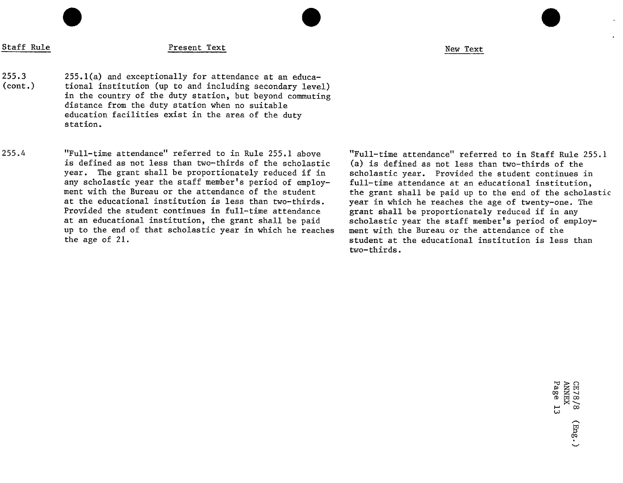# Staff Rule New Text New Text New Text New Text New Text New Text

255.3 255.1(a) and exceptionally for attendance at an educa-<br>(cont.) tional institution (up to and including secondary leve tional institution (up to and including secondary level) in the country of the duty station, but beyond commuting distance from the duty station when no suitable education facilities exist in the area of the duty station.

255.4 "Full-time attendance" referred to in Rule 255.1 above "Full-time attendance" referred to in Staff Rule 255.1 is defined as not less than two-thirds of the scholastic (a) is defined as not less than two-thirds of the<br>year. The grant shall be proportionately reduced if in scholastic year. Provided the student continues year. The grant shall be proportionately reduced if in scholastic year. Provided the student continues in<br>any scholastic year the staff member's period of employ- full-time attendance at an educational institution any scholastic year the staff member's period of employ- full-time attendance at an educational institution, ment with the Bureau or the attendance of the student the grant shall be paid up to the end of the scholastic<br>at the educational institution is less than two-thirds. The vear in which he reaches the age of twenty-one. The at the educational institution is less than two-thirds. year in which he reaches the age of twenty-one. The<br>Provided the student continues in full-time attendance grant shall be proportionately reduced if in any at an educational institution, the grant shall be paid scholastic year the staff member's period of employer to the staff member's period of the up to the end of the staff member's period of the up to the staff member of t up to the end of that scholastic year in which he reaches the age of  $21$ .

grant shall be proportionately reduced if in any<br>scholastic year the staff member's period of employstudent at the educational institution is less than two-thirds.

 $\begin{array}{l} \mathrm{CE}78/8\\ \mathrm{AMWEX}\\ \mathrm{Page}\quad 13 \end{array}$  $(Emg.)$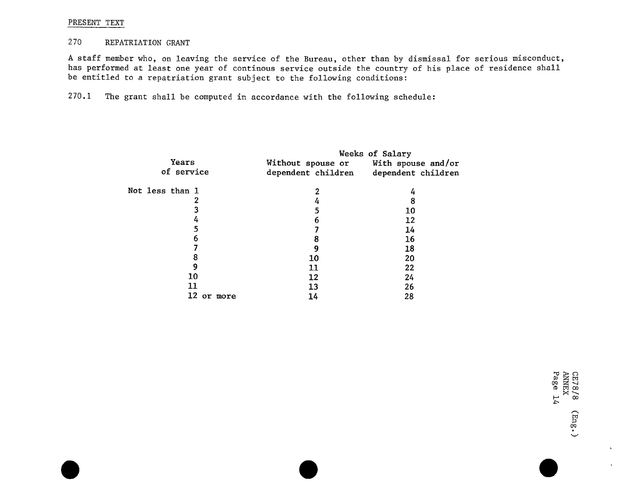### PRESENT TEXT

### 270 REPATRIATION GRANT

A staff member who, on leaving the service of the Bureau, other than by dismissal for serious misconduct, has performed at least one year of continous service outside the country of his place of residence shall be entitled to a repatriation grant subject to the following conditions:

270.1 The grant shall be computed in accordance with the following schedule:

|                 |                                       | Weeks of Salary |
|-----------------|---------------------------------------|-----------------|
| Years           | Without spouse or With spouse and/or  |                 |
| of service      | dependent children dependent children |                 |
| Not less than 1 | 2                                     |                 |
|                 | 4                                     | 8               |
|                 | 5                                     | 10              |
| 4               | 6                                     | 12              |
| 5               |                                       | 14              |
| 6               | 8                                     | 16              |
|                 | 9                                     | 18              |
| 8               | 10                                    | 20              |
| 9               | 11                                    | 22              |
| 10              | 12                                    | 24              |
| 11              | 13                                    | 26              |
| 12<br>or more   | 14                                    | 28              |
|                 |                                       |                 |

ក្ក  $\, \circ \,$  in  $\, \infty$ t'rl **O**\_

 $\Lambda$ 

 $\bullet$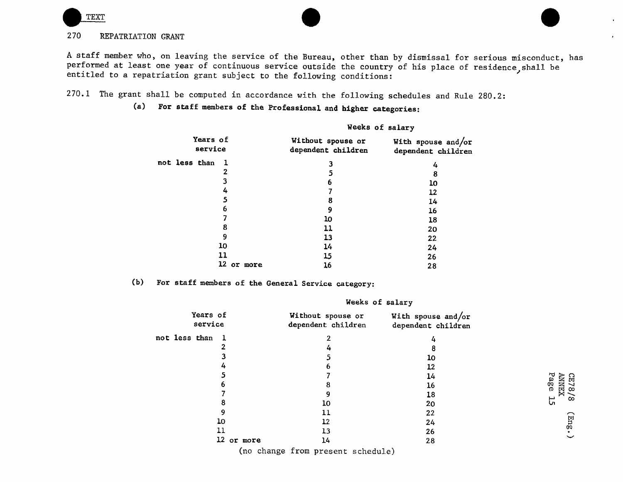

# 270 REPATRIATION GRANT

A staff member who, on leaving the service of the Bureau, other than by dismissal for serious misconduct, has performed at least one year of continuous service outside the country of his place of residence, shall be entitled to a repatriation grant subject to the following conditions:

270.1 The grant shall be computed in accordance with the following schedules and Rule 280.2:

# (a) For staff members of the Professional and higher categories:

|                               | Weeks of salary                         |                                          |  |
|-------------------------------|-----------------------------------------|------------------------------------------|--|
| Years of<br>service           | Without spouse or<br>dependent children | With spouse and/or<br>dependent children |  |
| not less than<br>$\mathbf{I}$ | 3                                       | 4                                        |  |
| 2                             | 5                                       | 8                                        |  |
| 3                             | 6                                       | 10                                       |  |
| 4                             |                                         | 12                                       |  |
| 5                             | 8                                       | 14                                       |  |
| 6                             | 9                                       | 16                                       |  |
| 7                             | 10                                      | 18                                       |  |
| 8                             | 11                                      | 20                                       |  |
| 9                             | 13                                      | 22                                       |  |
| 10                            | 14                                      | 24                                       |  |
| 11                            | 15                                      | 26                                       |  |
| 12 or more                    | 16                                      | 28                                       |  |

# (b) For staff members of the General Service category:

| Years of<br>service  |            | Without spouse or<br>dependent children | With spouse and/or<br>dependent children |                        |
|----------------------|------------|-----------------------------------------|------------------------------------------|------------------------|
| not less than<br>- 1 |            |                                         | 4                                        |                        |
|                      |            |                                         |                                          |                        |
|                      |            |                                         | 10                                       |                        |
|                      |            |                                         | 12                                       |                        |
|                      |            |                                         | 14                                       |                        |
|                      |            |                                         | 16                                       | Page<br>CE78/<br>ANNEX |
|                      |            |                                         | 18                                       | $\infty$               |
|                      |            | 10                                      | 20                                       | 55                     |
|                      |            | 11                                      | 22                                       |                        |
| 10                   |            | 12                                      | 24                                       | (Eng                   |
| 11                   |            | 13                                      | 26                                       |                        |
|                      | 12 or more | 14                                      | 28                                       |                        |
|                      |            | (no change from present schedule)       |                                          |                        |

Weeks of salary

 $\bullet$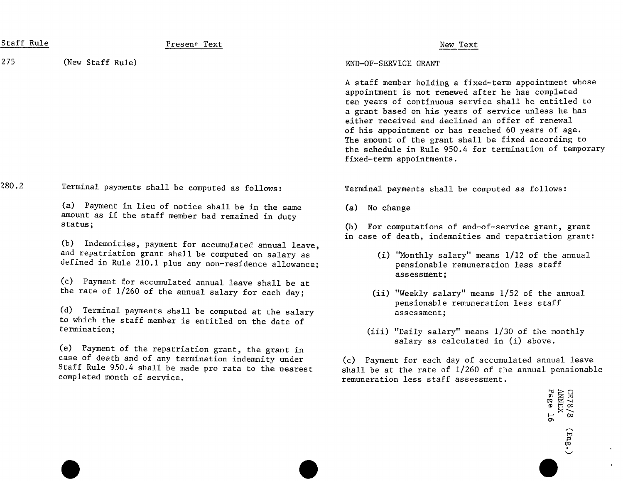| Staff Rule | Present Text                                                                                                                                                                                         | New Text                                                                                                                                                                                                                                                                                                                                                                                                                                                                          |
|------------|------------------------------------------------------------------------------------------------------------------------------------------------------------------------------------------------------|-----------------------------------------------------------------------------------------------------------------------------------------------------------------------------------------------------------------------------------------------------------------------------------------------------------------------------------------------------------------------------------------------------------------------------------------------------------------------------------|
| 275        | (New Staff Rule)                                                                                                                                                                                     | END-OF-SERVICE GRANT                                                                                                                                                                                                                                                                                                                                                                                                                                                              |
|            |                                                                                                                                                                                                      | A staff member holding a fixed-term appointment whose<br>appointment is not renewed after he has completed<br>ten years of continuous service shall be entitled to<br>a grant based on his years of service unless he has<br>either received and declined an offer of renewal<br>of his appointment or has reached 60 years of age.<br>The amount of the grant shall be fixed according to<br>the schedule in Rule 950.4 for termination of temporary<br>fixed-term appointments. |
| 280.2      | Terminal payments shall be computed as follows:                                                                                                                                                      | Terminal payments shall be computed as follows:                                                                                                                                                                                                                                                                                                                                                                                                                                   |
|            | (a) Payment in lieu of notice shall be in the same<br>amount as if the staff member had remained in duty                                                                                             | (a) No change                                                                                                                                                                                                                                                                                                                                                                                                                                                                     |
|            | status;                                                                                                                                                                                              | (b) For computations of end-of-service grant, grant<br>in case of death, indemnities and repatriation grant:                                                                                                                                                                                                                                                                                                                                                                      |
|            | (b) Indemnities, payment for accumulated annual leave,<br>and repatriation grant shall be computed on salary as<br>defined in Rule 210.1 plus any non-residence allowance;                           | (i) "Monthly salary" means 1/12 of the annual<br>pensionable remuneration less staff<br>assessment;                                                                                                                                                                                                                                                                                                                                                                               |
|            | (c) Payment for accumulated annual leave shall be at<br>the rate of 1/260 of the annual salary for each day;                                                                                         | (ii) "Weekly salary" means 1/52 of the annual                                                                                                                                                                                                                                                                                                                                                                                                                                     |
|            | (d) Terminal payments shall be computed at the salary<br>to which the staff member is entitled on the date of                                                                                        | pensionable remuneration less staff<br>assessment;                                                                                                                                                                                                                                                                                                                                                                                                                                |
|            | termination;                                                                                                                                                                                         | (iii) "Daily salary" means 1/30 of the monthly<br>salary as calculated in (i) above.                                                                                                                                                                                                                                                                                                                                                                                              |
|            | (e) Payment of the repatriation grant, the grant in<br>case of death and of any termination indemnity under<br>Staff Rule 950.4 shall be made pro rata to the nearest<br>completed month of service. | (c) Payment for each day of accumulated annual leave<br>shall be at the rate of 1/260 of the annual pensionable<br>remuneration less staff assessment.                                                                                                                                                                                                                                                                                                                            |
|            |                                                                                                                                                                                                      | ANNEX<br>Page 1<br>GE78/8<br>55                                                                                                                                                                                                                                                                                                                                                                                                                                                   |
|            |                                                                                                                                                                                                      | (mg.                                                                                                                                                                                                                                                                                                                                                                                                                                                                              |

 $\mathbf{v}$  $\hat{\mathbf{r}}$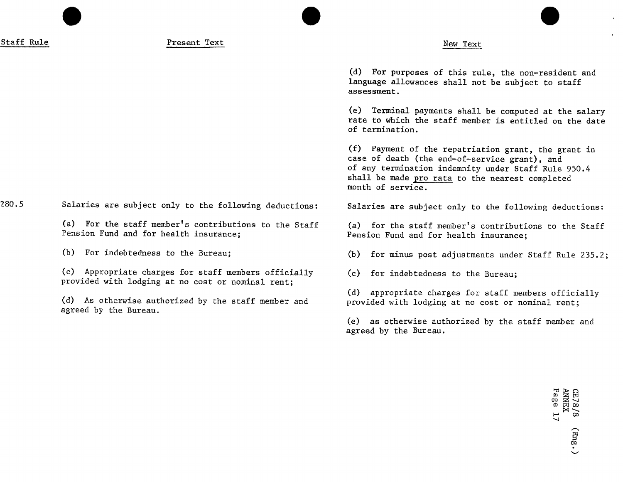Staff Rule New Text New Text New Text New Text

(d) For purposes of this rule, the non-resident and language allowances shall not be subject to staff assessment·

(e) Terminal payments shall be computed at the salary rate to which the staff member is entitled on the date of termination.

(f) Payment of the repatriation grant, the grant in case of death (the end-of-service grant), and of any termination indemnity under Staff Rule 950.4 shall be made pro rata to the nearest completed month of service.

Pension Fund and for health insurance;

(b) For indebtedness to the Bureau; (b) for minus post adjustments under Staff Rule 235.2;

(d) appropriate charges for staff members officially (d) As otherwise authorized by the staff member and provided with lodging at no cost or nominal rent;

> (e) as otherwise authorized by the staff member and agreed by the Bureau.

280.5 Salaries are subject only to the following deductions: Salaries are subject only to the following deductions:

(a) For the staff member's contributions to the Staff (a) for the staff member's contributions to the Staff<br>Pension Fund and for health insurance:<br>Pension Fund and for health insurance:

(c) Appropriate charges for staff members officially (c) for indebtedness to the Bureau; provided with lodging at no cost or nominal rent;

agreed by the Bureau.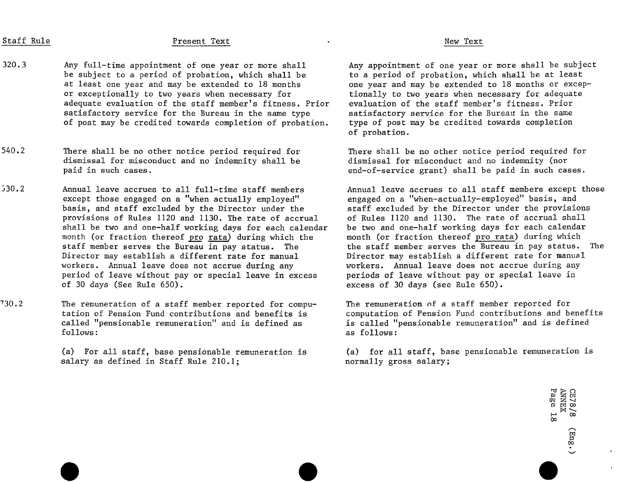# Staff Rule New Text Present Text (New Text) and the New Text (New Text)

- 320.3 Any full-time appointment of one year or more shall Any appointment of one year or more shall be subject<br>be subject to a period of probation, which shall be to a period of probation, which shall be at least be subject to a period of probation, which shall be at least one year and may be extended to 18 months one year and may be extended to 18 months or excep-<br>Or exceptionally to two years when necessary for stionally to two years when necessary for adequate adequate evaluation of the staff member's fitness. Prior evaluation of the staff member's fitness. Prior<br>satisfactory service for the Bureau in the same type satisfactory service for the Bureau in the same satisfactory service for the Bureau in the same type satisfactory service for the Bureau in the same<br>of post may be credited towards completion of probation. type of post may be credited towards completion of post may be credited towards completion of probation.
- 540.2 There shall be no other notice period required for There shall be no other notice period required for dismissal for misconduct and no indemnity (nor dismissal for misconduct and no indemnity shall be paid in such cases.
- 530.2 Annual leave accrues to all full-time staff members Annual leave accrues to all staff members except those<br>except those engaged on a "when actually employed" engaged on a "when-actually-employed" basis, and except those engaged on a "when actually employed" engaged on a "when-actually-employed" basis, and<br>basis, and staff excluded by the Director under the staff excluded by the Director under the provisions basis, and staff excluded by the Director under the staff excluded by the Director under the provision provision<br>provisions of Rules 1120 and 1130. The rate of accrual of Rules 1120 and 1130. The rate of accrual shall provisions of Rules 1120 and 1130. The rate of accrual of Rules 1120 and 1130. The rate of accrual shall shall be two and one-half working days for each calendar be two and one-half working days for each calendar<br>month (or fraction thereof pro rata) during which the smonth (or fraction thereof pro rata) during which month (or fraction thereof <u>pro rata</u>) during which the month (or fraction thereof <u>pro rata</u>) during which<br>staff member serves the Bureau in pay status. The staff member serves the Bureau in pay status. staff member serves the Bureau in pay status. The the staff member serves the Bureau in pay status. The status<br>Director may establish a different rate for manual the pirector may establish a different rate for manual Director may establish a different rate for manual birector may establish a different rate for manua<br>workers. Annual leave does not accrue during any workers. Annual leave does not accrue during any workers. Annual leave does not accrue during any workers. Annual leave does not accrue during an<br>period of leave without pay or special leave in excess beriods of leave without pay or special leave in period of leave without pay or special leave in excess of 30 days (See Rule 650).
- 730.2 The remuneration of a staff member reported for compu- The remuneration of a staff member reported for tation of Pension Fund contributions and benefits is a computation of Pension Fund contributions and benefit<br>called "pensionable remuneration" and is defined as a si salled "pensionable remuneration" and is defined called "pensionable remuneration" and is defined as follows:

salary as defined in Staff Rule  $210.1$ ;

tionally to two years when necessary for adequate<br>evaluation of the staff member's fitness. Prior of probation.

end-of-service grant) shall be paid in such cases.

excess of 30 days (see Rule 650).

as follows:

(a) For all staff, base pensionable remuneration is (a) for all staff, base pensionable remuneration is salary as defined in Staff Rule 210.1;

 $\Gamma$ ೧ ¤ c ີ ∞ັ<br>∞ F\_ v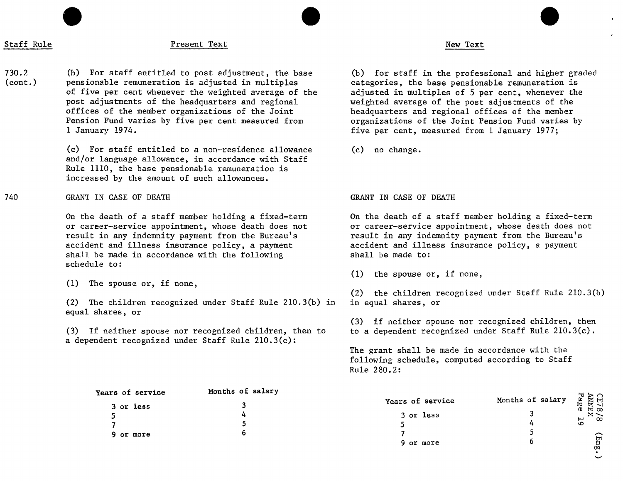# Staff Rule New Text Present Text New Text New Text

730.2 (b) For staff entitled to post adjustment, the base (b) for staff in the professional and higher graded<br>(cont.) pensionable remuneration is adjusted in multiples categories, the base pensionab pensionable remuneration is adjusted in multiples entity categories, the base pensionable remuneration is<br>of five per cent whenever the weighted average of the sadjusted in multiples of 5 per cent, whenever the of five per cent whenever the weighted average of the post adjustments of the headquarters and regional post adjustments of the headquarters and regional weighted average of the post adjustments of the offices of the member organizations of the Joint headquarters and regional offices of the member<br>Pension Fund varies by five per cent measured from organizations of the Joint Pension Fund varies Pension Fund varies by five per cent measured from organizations of the Joint Pension Fund varies by<br>1 January 1974.

> (c) For staff entitled to a non-residence allowance (c) no change. and**/**or language allowance, in accordance with Staff Rule 1110, the base pensionable remuneration is increased by the amount of such allowances.

740 GRANTIN CASEOF DEATH GRANTIN CASEOF DEATH

On the death of a staff member holding a fixed-term on the death of a staff member holding a fixed-term<br>or career-service appointment, whose death does not or career-service appointment, whose death does not or career-service appointment, whose death does not or career-service appointment, whose death does not or the<br>The result in any indemnity payment from the Bureau's states or esult in any indemnity payment from the Bureau' result in any indemnity payment from the Bureau's result in any indemnity payment from the Bureau's<br>accident and illness insurance policy, a payment accident and illness insurance policy, a payment accident and illness insurance policy, a payment accident and illness insurance policy, a payment and accident and illness insurance with the following shall be made in accordance with the following schedule to:

(2) The children recognized under Staff Rule  $210.3(b)$  in equal shares, or

(3) If neither spouse nor recognized children, then to a dependent recognized under Staff Rule 210.3(c):

five per cent, measured from 1 January 1977;

(1) the spouse or, if none,

 $(2)$  the children recognized under Staff Rule 210.3(b) in equal shares, or

(3) if neither spouse nor recognized children, then<br>to a dependent recognized under Staff Rule 210.3(c).

စ္ခဲ

The grant shall be made in accordance with the following schedule, computed according to Staff Rule 280.2:

| Years of service | Months of salary |                  |                  |                      |
|------------------|------------------|------------------|------------------|----------------------|
| 3 or less        |                  | Years of service | Months of salary | CE78<br>ANNE<br>Page |
|                  |                  | 3 or less        |                  | ×<br>ం               |
|                  |                  |                  |                  | ص                    |
| 9 or more        |                  |                  |                  |                      |
|                  |                  | 9 or more        |                  | (Enig                |

<sup>(1)</sup> The spouse or, if none,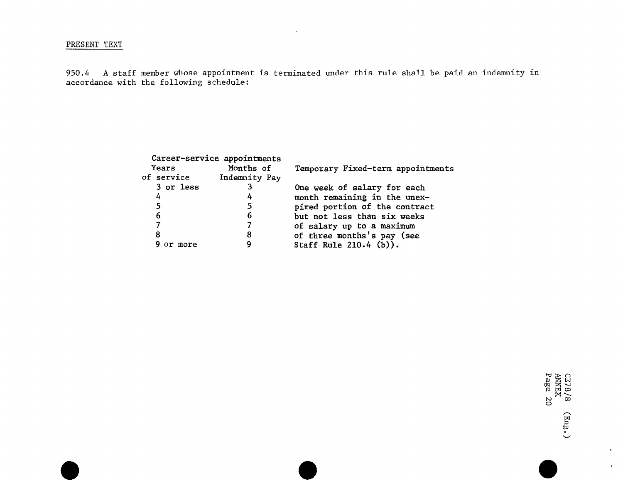### PRESENT TEXT

950.4 A staff member whose appointment is terminated under this rule shall be paid an indemnity in accordance with the following schedule:

|             | Career-service appointments |                                   |
|-------------|-----------------------------|-----------------------------------|
| Years       | Months of                   | Temporary Fixed-term appointments |
| of service  | Indemnity Pay               |                                   |
| 3 or less   |                             | One week of salary for each       |
| 4           | 4                           | month remaining in the unex-      |
| 5           | 5                           | pired portion of the contract     |
| 6           | 6                           | but not less than six weeks       |
|             |                             | of salary up to a maximum         |
| 8           | 8                           | of three months's pay (see        |
| more<br>or. |                             | Staff Rule $210.4$ (b)).          |
|             |                             |                                   |

 $\mathbb{E}$   $\widetilde{\mathbb{E}}$   $\widetilde{\mathbb{E}}$ bo OO CD  $\Box$ 

0Q

 $\langle \tau \rangle$  $\mathbf{A}^{\mathbf{a}}$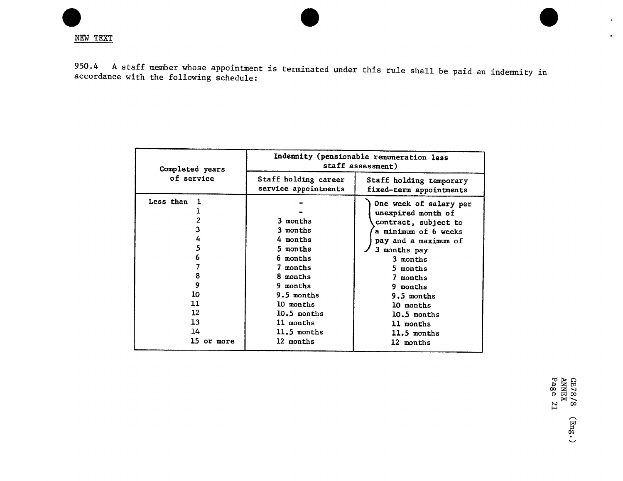950.4 A staff member whose appointment is terminated under this rule shall be paid an indemnity in accordance with the following schedule:

| Completed years                                                                   | Indemnity (pensionable remuneration less<br>staff assessment)                                                                                                        |                                                                                                                                                                                                                                                                |
|-----------------------------------------------------------------------------------|----------------------------------------------------------------------------------------------------------------------------------------------------------------------|----------------------------------------------------------------------------------------------------------------------------------------------------------------------------------------------------------------------------------------------------------------|
| of service                                                                        | Staff holding career<br>service appointments                                                                                                                         | Staff holding temporary<br>fixed-term appointments                                                                                                                                                                                                             |
| Less than<br>4<br>5<br>6<br>8<br>9<br>10<br>11<br>12<br>13<br>14<br>15<br>or more | 3 months<br>3 months<br>4 months<br>5 months<br>6 months<br>7 months<br>8 months<br>9 months<br>9.5 months<br>10 months<br>$10.5$ months<br>11 months<br>11.5 months | One week of salary per<br>unexpired month of<br>contract, subject to<br>a minimum of 6 weeks<br>pay and a maximum of<br>3 months pay<br>3 months<br>5 months<br>7 months<br>9 months<br>$9.5$ months<br>10 months<br>10.5 months<br>11 months<br>$11.5$ months |
|                                                                                   | 12 months                                                                                                                                                            | 12 months                                                                                                                                                                                                                                                      |

 $\bullet$